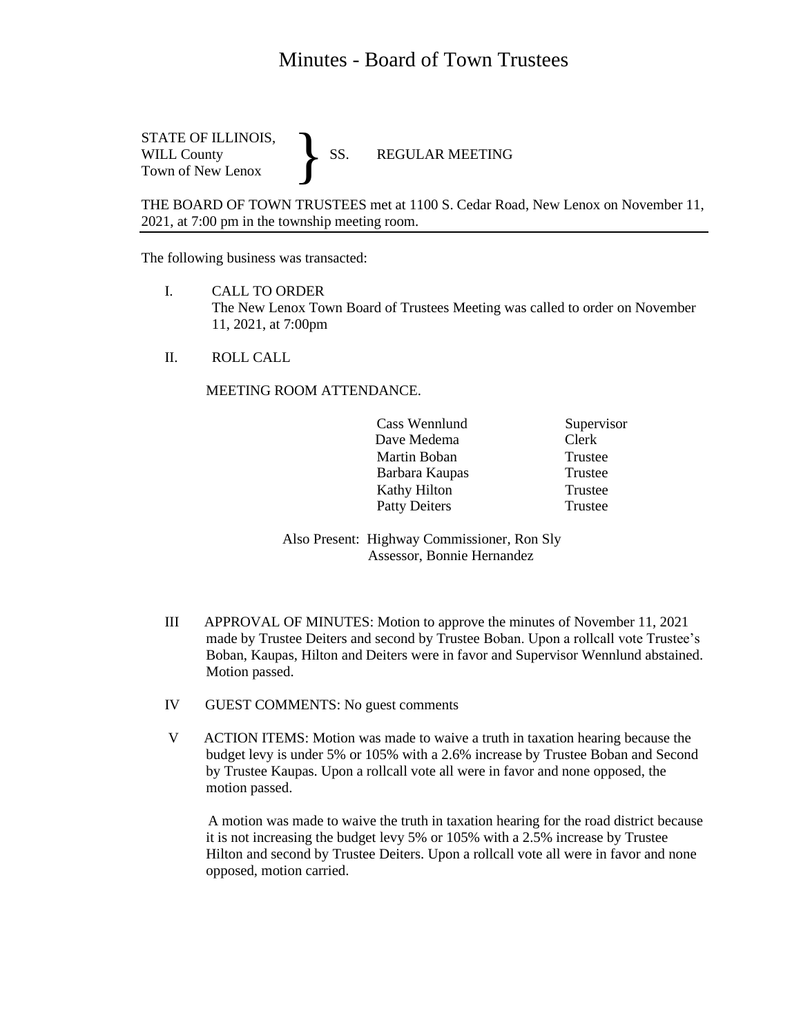## Minutes - Board of Town Trustees

STATE OF ILLINOIS,<br>WILL County SS. WILL County SS. REGULAR MEETING Town of New Lenox }

THE BOARD OF TOWN TRUSTEES met at 1100 S. Cedar Road, New Lenox on November 11, 2021, at 7:00 pm in the township meeting room.

The following business was transacted:

- I. CALL TO ORDER The New Lenox Town Board of Trustees Meeting was called to order on November 11, 2021, at 7:00pm
- II. ROLL CALL

MEETING ROOM ATTENDANCE.

|  | Cass Wennlund        | Supervisor |
|--|----------------------|------------|
|  | Dave Medema          | Clerk      |
|  | Martin Boban         | Trustee    |
|  | Barbara Kaupas       | Trustee    |
|  | Kathy Hilton         | Trustee    |
|  | <b>Patty Deiters</b> | Trustee    |

Also Present: Highway Commissioner, Ron Sly Assessor, Bonnie Hernandez

- III APPROVAL OF MINUTES: Motion to approve the minutes of November 11, 2021 made by Trustee Deiters and second by Trustee Boban. Upon a rollcall vote Trustee's Boban, Kaupas, Hilton and Deiters were in favor and Supervisor Wennlund abstained. Motion passed.
- IV GUEST COMMENTS: No guest comments
- V ACTION ITEMS: Motion was made to waive a truth in taxation hearing because the budget levy is under 5% or 105% with a 2.6% increase by Trustee Boban and Second by Trustee Kaupas. Upon a rollcall vote all were in favor and none opposed, the motion passed.

 A motion was made to waive the truth in taxation hearing for the road district because it is not increasing the budget levy 5% or 105% with a 2.5% increase by Trustee Hilton and second by Trustee Deiters. Upon a rollcall vote all were in favor and none opposed, motion carried.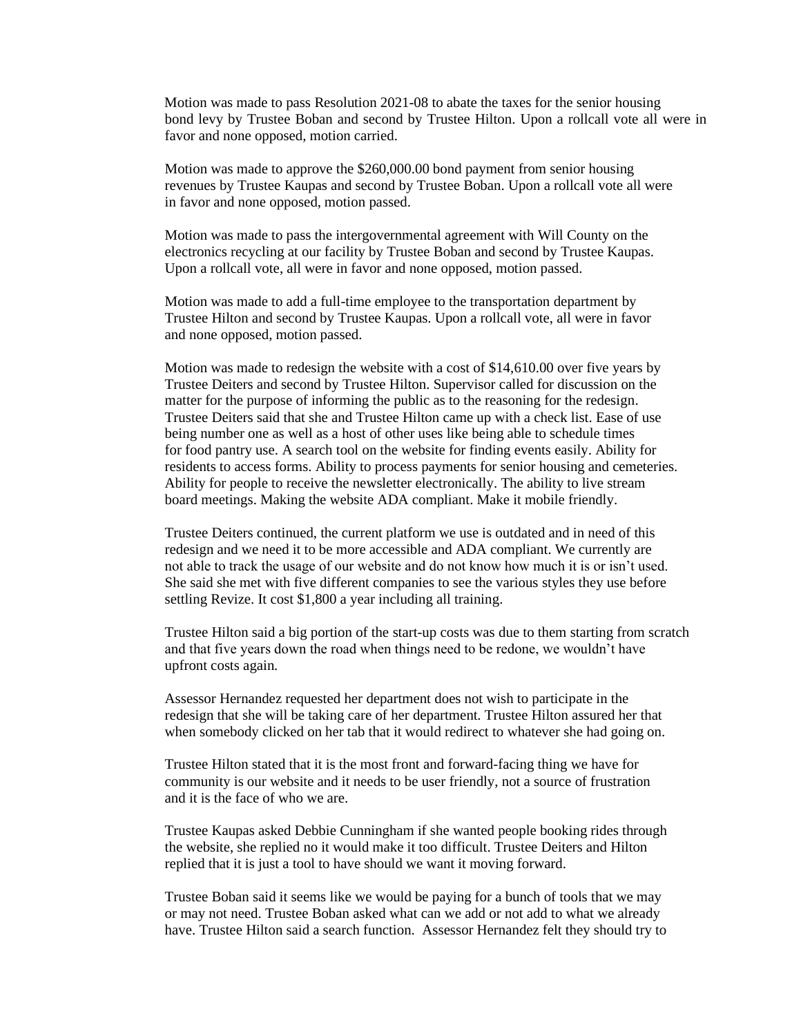Motion was made to pass Resolution 2021-08 to abate the taxes for the senior housing bond levy by Trustee Boban and second by Trustee Hilton. Upon a rollcall vote all were in favor and none opposed, motion carried.

Motion was made to approve the \$260,000.00 bond payment from senior housing revenues by Trustee Kaupas and second by Trustee Boban. Upon a rollcall vote all were in favor and none opposed, motion passed.

Motion was made to pass the intergovernmental agreement with Will County on the electronics recycling at our facility by Trustee Boban and second by Trustee Kaupas. Upon a rollcall vote, all were in favor and none opposed, motion passed.

Motion was made to add a full-time employee to the transportation department by Trustee Hilton and second by Trustee Kaupas. Upon a rollcall vote, all were in favor and none opposed, motion passed.

Motion was made to redesign the website with a cost of \$14,610.00 over five years by Trustee Deiters and second by Trustee Hilton. Supervisor called for discussion on the matter for the purpose of informing the public as to the reasoning for the redesign. Trustee Deiters said that she and Trustee Hilton came up with a check list. Ease of use being number one as well as a host of other uses like being able to schedule times for food pantry use. A search tool on the website for finding events easily. Ability for residents to access forms. Ability to process payments for senior housing and cemeteries. Ability for people to receive the newsletter electronically. The ability to live stream board meetings. Making the website ADA compliant. Make it mobile friendly.

Trustee Deiters continued, the current platform we use is outdated and in need of this redesign and we need it to be more accessible and ADA compliant. We currently are not able to track the usage of our website and do not know how much it is or isn't used. She said she met with five different companies to see the various styles they use before settling Revize. It cost \$1,800 a year including all training.

Trustee Hilton said a big portion of the start-up costs was due to them starting from scratch and that five years down the road when things need to be redone, we wouldn't have upfront costs again.

Assessor Hernandez requested her department does not wish to participate in the redesign that she will be taking care of her department. Trustee Hilton assured her that when somebody clicked on her tab that it would redirect to whatever she had going on.

Trustee Hilton stated that it is the most front and forward-facing thing we have for community is our website and it needs to be user friendly, not a source of frustration and it is the face of who we are.

Trustee Kaupas asked Debbie Cunningham if she wanted people booking rides through the website, she replied no it would make it too difficult. Trustee Deiters and Hilton replied that it is just a tool to have should we want it moving forward.

Trustee Boban said it seems like we would be paying for a bunch of tools that we may or may not need. Trustee Boban asked what can we add or not add to what we already have. Trustee Hilton said a search function. Assessor Hernandez felt they should try to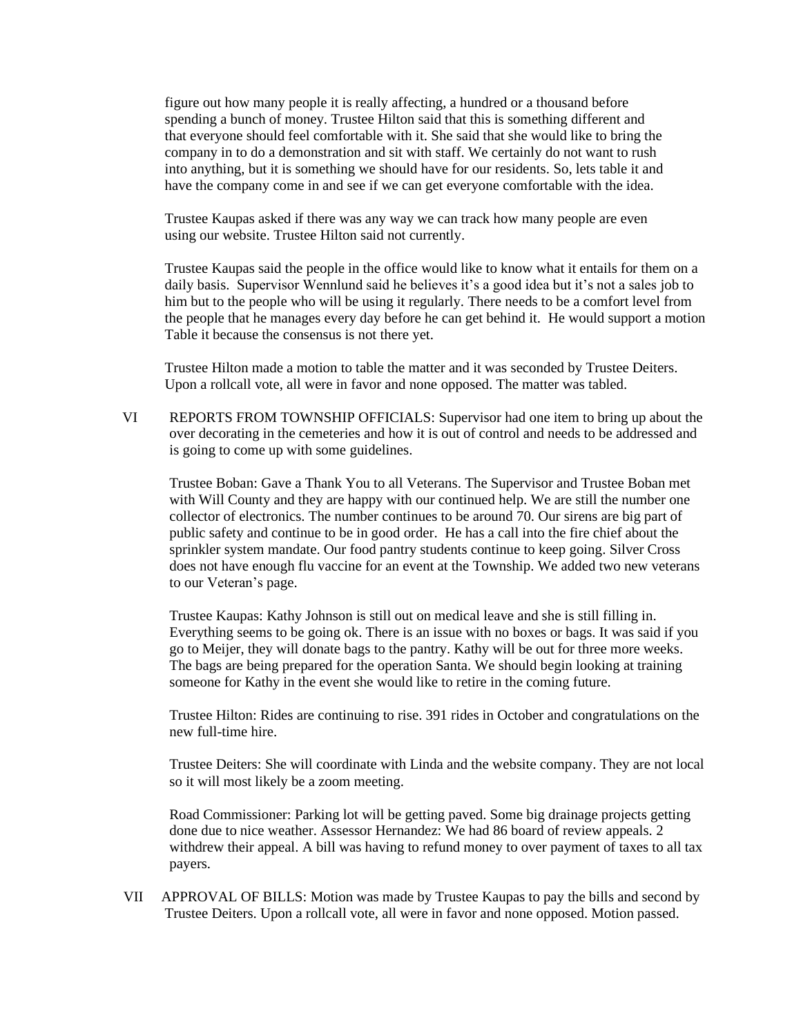figure out how many people it is really affecting, a hundred or a thousand before spending a bunch of money. Trustee Hilton said that this is something different and that everyone should feel comfortable with it. She said that she would like to bring the company in to do a demonstration and sit with staff. We certainly do not want to rush into anything, but it is something we should have for our residents. So, lets table it and have the company come in and see if we can get everyone comfortable with the idea.

Trustee Kaupas asked if there was any way we can track how many people are even using our website. Trustee Hilton said not currently.

Trustee Kaupas said the people in the office would like to know what it entails for them on a daily basis. Supervisor Wennlund said he believes it's a good idea but it's not a sales job to him but to the people who will be using it regularly. There needs to be a comfort level from the people that he manages every day before he can get behind it. He would support a motion Table it because the consensus is not there yet.

Trustee Hilton made a motion to table the matter and it was seconded by Trustee Deiters. Upon a rollcall vote, all were in favor and none opposed. The matter was tabled.

VI REPORTS FROM TOWNSHIP OFFICIALS: Supervisor had one item to bring up about the over decorating in the cemeteries and how it is out of control and needs to be addressed and is going to come up with some guidelines.

 Trustee Boban: Gave a Thank You to all Veterans. The Supervisor and Trustee Boban met with Will County and they are happy with our continued help. We are still the number one collector of electronics. The number continues to be around 70. Our sirens are big part of public safety and continue to be in good order. He has a call into the fire chief about the sprinkler system mandate. Our food pantry students continue to keep going. Silver Cross does not have enough flu vaccine for an event at the Township. We added two new veterans to our Veteran's page.

 Trustee Kaupas: Kathy Johnson is still out on medical leave and she is still filling in. Everything seems to be going ok. There is an issue with no boxes or bags. It was said if you go to Meijer, they will donate bags to the pantry. Kathy will be out for three more weeks. The bags are being prepared for the operation Santa. We should begin looking at training someone for Kathy in the event she would like to retire in the coming future.

 Trustee Hilton: Rides are continuing to rise. 391 rides in October and congratulations on the new full-time hire.

 Trustee Deiters: She will coordinate with Linda and the website company. They are not local so it will most likely be a zoom meeting.

 Road Commissioner: Parking lot will be getting paved. Some big drainage projects getting done due to nice weather. Assessor Hernandez: We had 86 board of review appeals. 2 withdrew their appeal. A bill was having to refund money to over payment of taxes to all tax payers.

VII APPROVAL OF BILLS: Motion was made by Trustee Kaupas to pay the bills and second by Trustee Deiters. Upon a rollcall vote, all were in favor and none opposed. Motion passed.